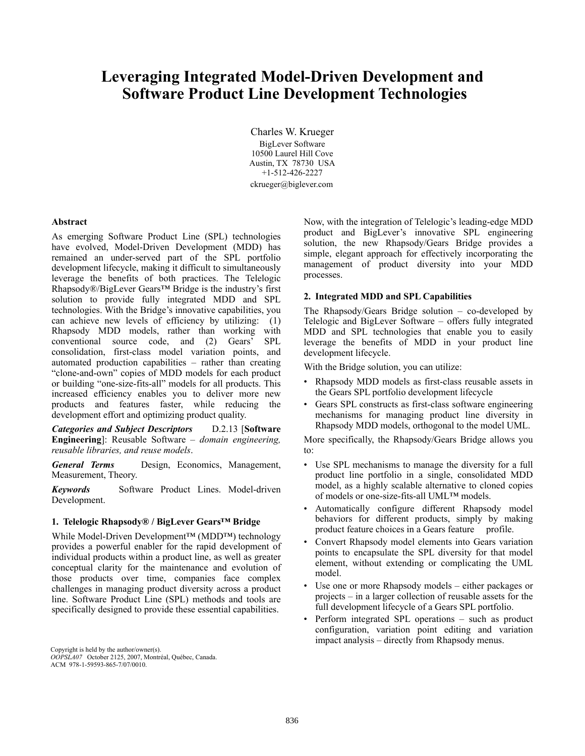# **Leveraging Integrated Model-Driven Development and Software Product Line Development Technologies**

Charles W. Krueger BigLever Software 10500 Laurel Hill Cove Austin, TX 78730 USA +1-512-426-2227 ckrueger@biglever.com

## **Abstract**

As emerging Software Product Line (SPL) technologies have evolved, Model-Driven Development (MDD) has remained an under-served part of the SPL portfolio development lifecycle, making it difficult to simultaneously leverage the benefits of both practices. The Telelogic Rhapsody®/BigLever Gears™ Bridge is the industry's first solution to provide fully integrated MDD and SPL technologies. With the Bridge's innovative capabilities, you can achieve new levels of efficiency by utilizing: (1) Rhapsody MDD models, rather than working with conventional source code, and (2) Gears' SPL consolidation, first-class model variation points, and automated production capabilities – rather than creating "clone-and-own" copies of MDD models for each product or building "one-size-fits-all" models for all products. This increased efficiency enables you to deliver more new products and features faster, while reducing the development effort and optimizing product quality.

*Categories and Subject Descriptors* D.2.13 [**Software Engineering**]: Reusable Software – *domain engineering, reusable libraries, and reuse models*.

*General Terms* Design, Economics, Management, Measurement, Theory.

*Keywords* Software Product Lines. Model-driven Development.

#### **1. Telelogic Rhapsody® / BigLever Gears™ Bridge**

While Model-Driven Development™ (MDD™) technology provides a powerful enabler for the rapid development of individual products within a product line, as well as greater conceptual clarity for the maintenance and evolution of those products over time, companies face complex challenges in managing product diversity across a product line. Software Product Line (SPL) methods and tools are specifically designed to provide these essential capabilities.

Copyright is held by the author/owner(s). *OOPSLA07* October 2125, 2007, Montréal, Québec, Canada. ACM 978-1-59593-865-7/07/0010.

Now, with the integration of Telelogic's leading-edge MDD product and BigLever's innovative SPL engineering solution, the new Rhapsody/Gears Bridge provides a simple, elegant approach for effectively incorporating the management of product diversity into your MDD processes.

#### **2. Integrated MDD and SPL Capabilities**

The Rhapsody/Gears Bridge solution – co-developed by Telelogic and BigLever Software – offers fully integrated MDD and SPL technologies that enable you to easily leverage the benefits of MDD in your product line development lifecycle.

With the Bridge solution, you can utilize:

- Rhapsody MDD models as first-class reusable assets in the Gears SPL portfolio development lifecycle
- Gears SPL constructs as first-class software engineering mechanisms for managing product line diversity in Rhapsody MDD models, orthogonal to the model UML.

More specifically, the Rhapsody/Gears Bridge allows you to:

- Use SPL mechanisms to manage the diversity for a full product line portfolio in a single, consolidated MDD model, as a highly scalable alternative to cloned copies of models or one-size-fits-all UML™ models.
- Automatically configure different Rhapsody model behaviors for different products, simply by making product feature choices in a Gears feature profile.
- Convert Rhapsody model elements into Gears variation points to encapsulate the SPL diversity for that model element, without extending or complicating the UML model.
- Use one or more Rhapsody models either packages or projects – in a larger collection of reusable assets for the full development lifecycle of a Gears SPL portfolio.
- Perform integrated SPL operations such as product configuration, variation point editing and variation impact analysis – directly from Rhapsody menus.